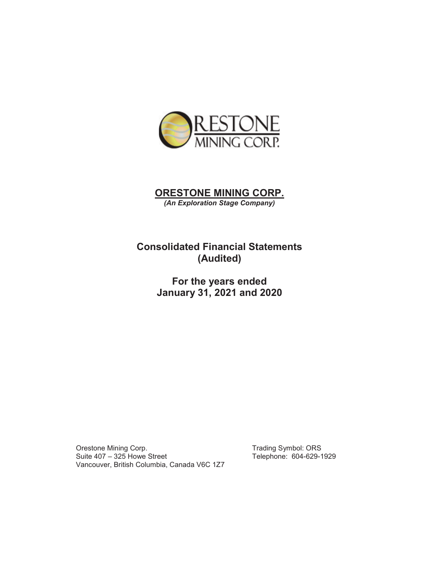

**ORESTONE MINING CORP.**  *(An Exploration Stage Company)* 

**Consolidated Financial Statements (Audited)** 

> **For the years ended January 31, 2021 and 2020**

Orestone Mining Corp. Trading Symbol: ORS Suite 407 – 325 Howe Street Telephone: 604-629-1929 Vancouver, British Columbia, Canada V6C 1Z7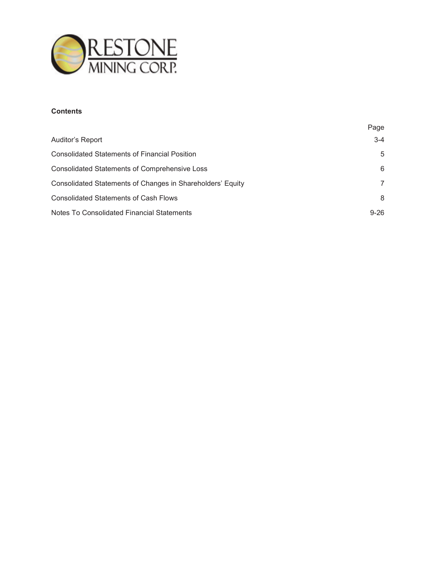

# **Contents**

|                                                            | Page           |
|------------------------------------------------------------|----------------|
| Auditor's Report                                           | $3 - 4$        |
| <b>Consolidated Statements of Financial Position</b>       | 5              |
| Consolidated Statements of Comprehensive Loss              | 6              |
| Consolidated Statements of Changes in Shareholders' Equity | $\overline{7}$ |
| <b>Consolidated Statements of Cash Flows</b>               | 8              |
| Notes To Consolidated Financial Statements                 | $9 - 26$       |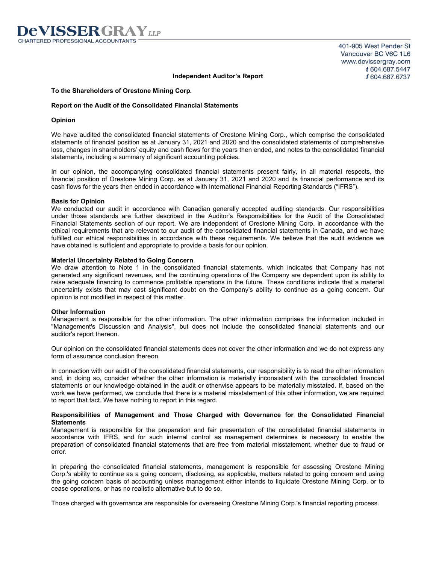

401-905 West Pender St Vancouver BC V6C 1L6 www.devissergray.com t 604.687.5447 f 604.687.6737

#### **Independent Auditor's Report**

#### **To the Shareholders of Orestone Mining Corp.**

#### **Report on the Audit of the Consolidated Financial Statements**

#### **Opinion**

We have audited the consolidated financial statements of Orestone Mining Corp., which comprise the consolidated statements of financial position as at January 31, 2021 and 2020 and the consolidated statements of comprehensive loss, changes in shareholders' equity and cash flows for the years then ended, and notes to the consolidated financial statements, including a summary of significant accounting policies.

In our opinion, the accompanying consolidated financial statements present fairly, in all material respects, the financial position of Orestone Mining Corp. as at January 31, 2021 and 2020 and its financial performance and its cash flows for the years then ended in accordance with International Financial Reporting Standards ("IFRS").

#### **Basis for Opinion**

We conducted our audit in accordance with Canadian generally accepted auditing standards. Our responsibilities under those standards are further described in the Auditor's Responsibilities for the Audit of the Consolidated Financial Statements section of our report. We are independent of Orestone Mining Corp. in accordance with the ethical requirements that are relevant to our audit of the consolidated financial statements in Canada, and we have fulfilled our ethical responsibilities in accordance with these requirements. We believe that the audit evidence we have obtained is sufficient and appropriate to provide a basis for our opinion.

#### **Material Uncertainty Related to Going Concern**

We draw attention to Note 1 in the consolidated financial statements, which indicates that Company has not generated any significant revenues, and the continuing operations of the Company are dependent upon its ability to raise adequate financing to commence profitable operations in the future. These conditions indicate that a material uncertainty exists that may cast significant doubt on the Company's ability to continue as a going concern. Our opinion is not modified in respect of this matter.

#### **Other Information**

Management is responsible for the other information. The other information comprises the information included in "Management's Discussion and Analysis", but does not include the consolidated financial statements and our auditor's report thereon.

Our opinion on the consolidated financial statements does not cover the other information and we do not express any form of assurance conclusion thereon.

In connection with our audit of the consolidated financial statements, our responsibility is to read the other information and, in doing so, consider whether the other information is materially inconsistent with the consolidated financial statements or our knowledge obtained in the audit or otherwise appears to be materially misstated. If, based on the work we have performed, we conclude that there is a material misstatement of this other information, we are required to report that fact. We have nothing to report in this regard.

#### **Responsibilities of Management and Those Charged with Governance for the Consolidated Financial Statements**

Management is responsible for the preparation and fair presentation of the consolidated financial statements in accordance with IFRS, and for such internal control as management determines is necessary to enable the preparation of consolidated financial statements that are free from material misstatement, whether due to fraud or error.

In preparing the consolidated financial statements, management is responsible for assessing Orestone Mining Corp.'s ability to continue as a going concern, disclosing, as applicable, matters related to going concern and using the going concern basis of accounting unless management either intends to liquidate Orestone Mining Corp. or to cease operations, or has no realistic alternative but to do so.

Those charged with governance are responsible for overseeing Orestone Mining Corp.'s financial reporting process.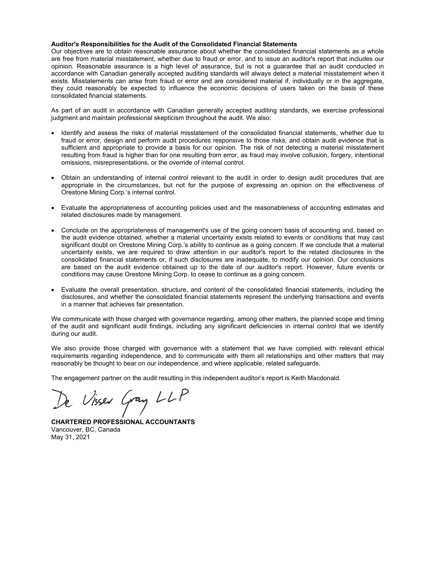## **Auditor's Responsibilities for the Audit of the Consolidated Financial Statements**

Our objectives are to obtain reasonable assurance about whether the consolidated financial statements as a whole are free from material misstatement, whether due to fraud or error, and to issue an auditor's report that includes our opinion. Reasonable assurance is a high level of assurance, but is not a guarantee that an audit conducted in accordance with Canadian generally accepted auditing standards will always detect a material misstatement when it exists. Misstatements can arise from fraud or error and are considered material if, individually or in the aggregate, they could reasonably be expected to influence the economic decisions of users taken on the basis of these consolidated financial statements.

As part of an audit in accordance with Canadian generally accepted auditing standards, we exercise professional judgment and maintain professional skepticism throughout the audit. We also:

- Identify and assess the risks of material misstatement of the consolidated financial statements, whether due to fraud or error, design and perform audit procedures responsive to those risks, and obtain audit evidence that is sufficient and appropriate to provide a basis for our opinion. The risk of not detecting a material misstatement resulting from fraud is higher than for one resulting from error, as fraud may involve collusion, forgery, intentional omissions, misrepresentations, or the override of internal control.
- Obtain an understanding of internal control relevant to the audit in order to design audit procedures that are appropriate in the circumstances, but not for the purpose of expressing an opinion on the effectiveness of Orestone Mining Corp.'s internal control.
- Evaluate the appropriateness of accounting policies used and the reasonableness of accounting estimates and related disclosures made by management.
- Conclude on the appropriateness of management's use of the going concern basis of accounting and, based on the audit evidence obtained, whether a material uncertainty exists related to events or conditions that may cast significant doubt on Orestone Mining Corp.'s ability to continue as a going concern. If we conclude that a material uncertainty exists, we are required to draw attention in our auditor's report to the related disclosures in the consolidated financial statements or, if such disclosures are inadequate, to modify our opinion. Our conclusions are based on the audit evidence obtained up to the date of our auditor's report. However, future events or conditions may cause Orestone Mining Corp. to cease to continue as a going concern.
- Evaluate the overall presentation, structure, and content of the consolidated financial statements, including the disclosures, and whether the consolidated financial statements represent the underlying transactions and events in a manner that achieves fair presentation.

We communicate with those charged with governance regarding, among other matters, the planned scope and timing of the audit and significant audit findings, including any significant deficiencies in internal control that we identify during our audit.

We also provide those charged with governance with a statement that we have complied with relevant ethical requirements regarding independence, and to communicate with them all relationships and other matters that may reasonably be thought to bear on our independence, and where applicable, related safeguards.

The engagement partner on the audit resulting in this independent auditor's report is Keith Macdonald.

Visser Gray LLP

**CHARTERED PROFESSIONAL ACCOUNTANTS**  Vancouver, BC, Canada May 31, 2021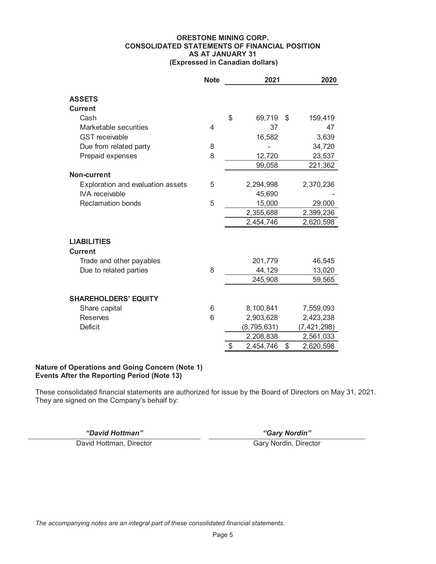## **ORESTONE MINING CORP. CONSOLIDATED STATEMENTS OF FINANCIAL POSITION AS AT JANUARY 31 (Expressed in Canadian dollars)**

|                                   | <b>Note</b> | 2021            | 2020            |
|-----------------------------------|-------------|-----------------|-----------------|
|                                   |             |                 |                 |
| <b>ASSETS</b>                     |             |                 |                 |
| <b>Current</b>                    |             |                 |                 |
| Cash                              |             | \$<br>69,719    | \$<br>159,419   |
| Marketable securities             | 4           | 37              | 47              |
| <b>GST</b> receivable             |             | 16,582          | 3,639           |
| Due from related party            | 8           |                 | 34,720          |
| Prepaid expenses                  | 8           | 12,720          | 23,537          |
|                                   |             | 99,058          | 221,362         |
| Non-current                       |             |                 |                 |
| Exploration and evaluation assets | 5           | 2,294,998       | 2,370,236       |
| <b>IVA</b> receivable             |             | 45,690          |                 |
| <b>Reclamation bonds</b>          | 5           | 15,000          | 29,000          |
|                                   |             | 2,355,688       | 2,399,236       |
|                                   |             | 2,454,746       | 2,620,598       |
|                                   |             |                 |                 |
| <b>LIABILITIES</b>                |             |                 |                 |
| <b>Current</b>                    |             |                 |                 |
| Trade and other payables          |             | 201,779         | 46,545          |
| Due to related parties            | 8           | 44,129          | 13,020          |
|                                   |             | 245,908         | 59,565          |
|                                   |             |                 |                 |
| <b>SHAREHOLDERS' EQUITY</b>       |             |                 |                 |
| Share capital                     | 6           | 8,100,841       | 7,559,093       |
| <b>Reserves</b>                   | 6           | 2,903,628       | 2,423,238       |
| <b>Deficit</b>                    |             | (8, 795, 631)   | (7, 421, 298)   |
|                                   |             | 2,208,838       | 2,561,033       |
|                                   |             | \$<br>2,454,746 | \$<br>2,620,598 |

## **Nature of Operations and Going Concern (Note 1) Events After the Reporting Period (Note 13)**

These consolidated financial statements are authorized for issue by the Board of Directors on May 31, 2021. They are signed on the Company's behalf by:

*"David Hottman" "Gary Nordin"*

David Hottman, Director **Gary Nordin, Director** Gary Nordin, Director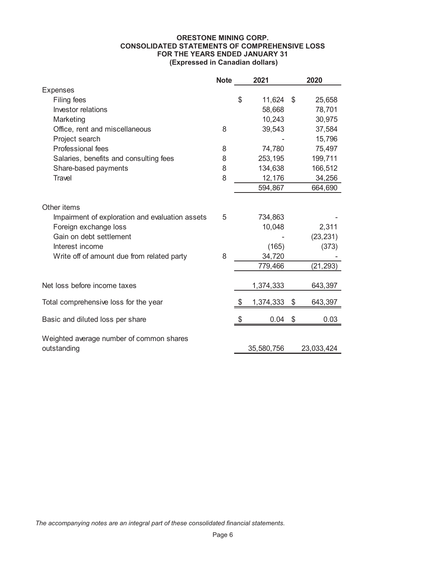## **ORESTONE MINING CORP. CONSOLIDATED STATEMENTS OF COMPREHENSIVE LOSS FOR THE YEARS ENDED JANUARY 31 (Expressed in Canadian dollars)**

|                                                                                                                                                                                     | <b>Note</b> | 2021                                            | 2020                                     |
|-------------------------------------------------------------------------------------------------------------------------------------------------------------------------------------|-------------|-------------------------------------------------|------------------------------------------|
| <b>Expenses</b>                                                                                                                                                                     |             |                                                 |                                          |
| Filing fees                                                                                                                                                                         |             | \$<br>11,624                                    | \$<br>25,658                             |
| Investor relations                                                                                                                                                                  |             | 58,668                                          | 78,701                                   |
| Marketing                                                                                                                                                                           |             | 10,243                                          | 30,975                                   |
| Office, rent and miscellaneous                                                                                                                                                      | 8           | 39,543                                          | 37,584                                   |
| Project search                                                                                                                                                                      |             |                                                 | 15,796                                   |
| Professional fees                                                                                                                                                                   | 8           | 74,780                                          | 75,497                                   |
| Salaries, benefits and consulting fees                                                                                                                                              | 8           | 253,195                                         | 199,711                                  |
| Share-based payments                                                                                                                                                                | 8           | 134,638                                         | 166,512                                  |
| <b>Travel</b>                                                                                                                                                                       | 8           | 12,176                                          | 34,256                                   |
|                                                                                                                                                                                     |             | 594,867                                         | 664,690                                  |
| Other items<br>Impairment of exploration and evaluation assets<br>Foreign exchange loss<br>Gain on debt settlement<br>Interest income<br>Write off of amount due from related party | 5<br>8      | 734,863<br>10,048<br>(165)<br>34,720<br>779,466 | 2,311<br>(23, 231)<br>(373)<br>(21, 293) |
| Net loss before income taxes                                                                                                                                                        |             | 1,374,333                                       | 643,397                                  |
| Total comprehensive loss for the year                                                                                                                                               |             | 1,374,333                                       | \$<br>643,397                            |
| Basic and diluted loss per share                                                                                                                                                    |             | 0.04                                            | \$<br>0.03                               |
| Weighted average number of common shares<br>outstanding                                                                                                                             |             | 35,580,756                                      | 23,033,424                               |

*The accompanying notes are an integral part of these consolidated financial statements.*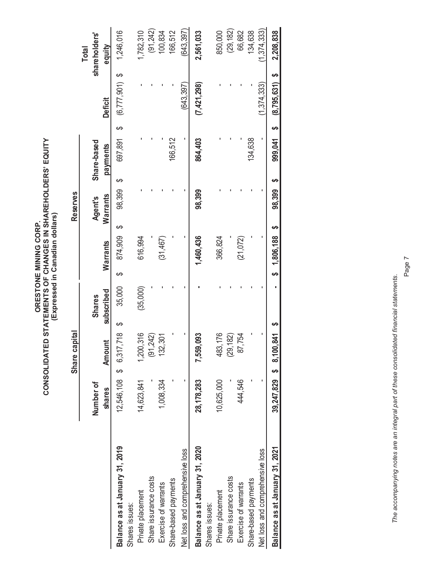|                                 |                           | pital<br>Share cal          |               |                 |    | <b>Reserves</b> |             |         |                       |               |
|---------------------------------|---------------------------|-----------------------------|---------------|-----------------|----|-----------------|-------------|---------|-----------------------|---------------|
|                                 |                           |                             |               |                 |    |                 |             |         |                       | <b>Total</b>  |
|                                 | Number of                 |                             | <b>Shares</b> |                 |    | Agent's         | Share-based |         |                       | shareholders' |
|                                 | shares                    | Amount                      | subscribed    | <b>Warrants</b> |    | <b>Warrants</b> | payments    |         | Deficit               | equity        |
| Balance as at January 31, 2019  |                           | $12,546,108$ \$ $6,317,718$ | 35,000        | 874,909<br>ക    | ക  | 98,399          | ക           | 697,891 | $(6,777,901)$ \$<br>ക | 1,246,016     |
| Shares issues:                  |                           |                             |               |                 |    |                 |             |         |                       |               |
| Private placement               | 14,623,841                | 1,200,316                   | (35,000)      | 616,994         |    |                 |             |         |                       | 1,782,310     |
| Share issurance costs           |                           | (91, 242)                   |               |                 |    |                 |             |         |                       | (91, 242)     |
| Exercise of warrants            | 1,008,334                 | 132,301                     |               | (31, 467)       |    |                 |             |         |                       | 100,834       |
| Share-based payments            |                           |                             |               |                 |    |                 |             | 166,512 |                       | 166,512       |
| Net loss and comprehensive loss |                           |                             |               |                 |    |                 |             |         | (643, 397)            | (643, 397)    |
| Balance as at January 31, 2020  | 28,178,283                | 7,559,093                   |               | 1,460,436       |    | 98,399          |             | 864,403 | (7, 421, 298)         | 2,561,033     |
| Shares issues:                  |                           |                             |               |                 |    |                 |             |         |                       |               |
| Private placement               | 10,625,000                | 483,176                     |               | 366,824         |    |                 |             |         |                       | 850,000       |
| Share issurance costs           |                           | (29, 182)                   |               |                 |    |                 |             |         |                       | (29, 182)     |
| Exercise of warrants            | 444,546                   | 754<br>87,7                 |               | (21,072)        |    |                 |             |         |                       | 66,682        |
| Share-based payments            |                           |                             |               |                 |    |                 |             | 134,638 |                       | 134,638       |
| Net loss and comprehensive loss |                           |                             |               |                 |    |                 |             |         | (1,374,333)           | (1,374,333)   |
| Balance as at January 31, 2021  | $39,247,829$ \$ 8,100,841 |                             | မာ            | \$1,806,188     | မာ | 98,399          | မာ          | 999.041 | $(8,795,631)$ \$<br>ക | 2,208,838     |

The accompanying notes are an integral part of these consolidated financial statements. *The accompanying notes are an integral part of these consolidated financial statements.*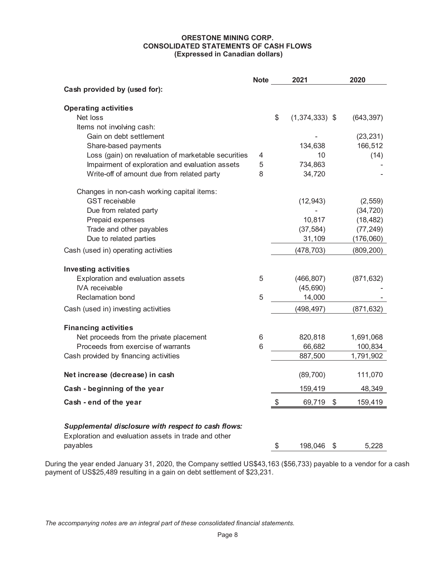## **ORESTONE MINING CORP. CONSOLIDATED STATEMENTS OF CASH FLOWS (Expressed in Canadian dollars)**

|                                                                               | <b>Note</b> | 2021                   | 2020                 |
|-------------------------------------------------------------------------------|-------------|------------------------|----------------------|
| Cash provided by (used for):                                                  |             |                        |                      |
| <b>Operating activities</b>                                                   |             |                        |                      |
| Net loss                                                                      |             | \$<br>$(1,374,333)$ \$ | (643, 397)           |
| Items not involving cash:                                                     |             |                        |                      |
| Gain on debt settlement                                                       |             |                        | (23, 231)            |
| Share-based payments                                                          |             | 134,638                | 166,512              |
| Loss (gain) on revaluation of marketable securities                           | 4           | 10                     | (14)                 |
| Impairment of exploration and evaluation assets                               | 5<br>8      | 734,863                |                      |
| Write-off of amount due from related party                                    |             | 34,720                 |                      |
| Changes in non-cash working capital items:                                    |             |                        |                      |
| <b>GST</b> receivable                                                         |             | (12, 943)              | (2, 559)             |
| Due from related party                                                        |             |                        | (34, 720)            |
| Prepaid expenses                                                              |             | 10,817                 | (18, 482)            |
| Trade and other payables                                                      |             | (37, 584)              | (77, 249)            |
| Due to related parties                                                        |             | 31,109                 | (176,060)            |
| Cash (used in) operating activities                                           |             | (478, 703)             | (809, 200)           |
| <b>Investing activities</b>                                                   |             |                        |                      |
| Exploration and evaluation assets                                             | 5           | (466, 807)             | (871, 632)           |
| <b>IVA</b> receivable                                                         |             | (45,690)               |                      |
| <b>Reclamation bond</b>                                                       | 5           | 14,000                 |                      |
| Cash (used in) investing activities                                           |             | (498, 497)             | (871, 632)           |
|                                                                               |             |                        |                      |
| <b>Financing activities</b>                                                   |             |                        |                      |
| Net proceeds from the private placement<br>Proceeds from exercise of warrants | 6<br>6      | 820,818<br>66,682      | 1,691,068            |
| Cash provided by financing activities                                         |             | 887,500                | 100,834<br>1,791,902 |
|                                                                               |             |                        |                      |
| Net increase (decrease) in cash                                               |             | (89, 700)              | 111,070              |
| Cash - beginning of the year                                                  |             | 159,419                | 48,349               |
| Cash - end of the year                                                        |             | \$<br>69,719           | \$<br>159,419        |
|                                                                               |             |                        |                      |
| Supplemental disclosure with respect to cash flows:                           |             |                        |                      |
| Exploration and evaluation assets in trade and other                          |             |                        |                      |
| payables                                                                      |             | \$<br>198,046 \$       | 5,228                |

During the year ended January 31, 2020, the Company settled US\$43,163 (\$56,733) payable to a vendor for a cash payment of US\$25,489 resulting in a gain on debt settlement of \$23,231.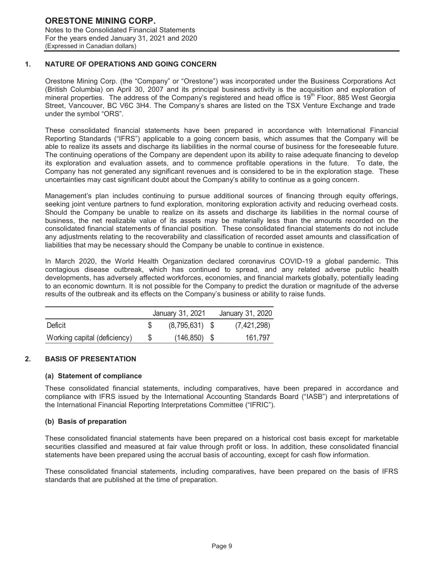## **1. NATURE OF OPERATIONS AND GOING CONCERN**

Orestone Mining Corp. (the "Company" or "Orestone") was incorporated under the Business Corporations Act (British Columbia) on April 30, 2007 and its principal business activity is the acquisition and exploration of mineral properties. The address of the Company's registered and head office is 19<sup>th</sup> Floor, 885 West Georgia Street, Vancouver, BC V6C 3H4. The Company's shares are listed on the TSX Venture Exchange and trade under the symbol "ORS".

These consolidated financial statements have been prepared in accordance with International Financial Reporting Standards ("IFRS") applicable to a going concern basis, which assumes that the Company will be able to realize its assets and discharge its liabilities in the normal course of business for the foreseeable future. The continuing operations of the Company are dependent upon its ability to raise adequate financing to develop its exploration and evaluation assets, and to commence profitable operations in the future. To date, the Company has not generated any significant revenues and is considered to be in the exploration stage. These uncertainties may cast significant doubt about the Company's ability to continue as a going concern.

Management's plan includes continuing to pursue additional sources of financing through equity offerings, seeking joint venture partners to fund exploration, monitoring exploration activity and reducing overhead costs. Should the Company be unable to realize on its assets and discharge its liabilities in the normal course of business, the net realizable value of its assets may be materially less than the amounts recorded on the consolidated financial statements of financial position. These consolidated financial statements do not include any adjustments relating to the recoverability and classification of recorded asset amounts and classification of liabilities that may be necessary should the Company be unable to continue in existence.

In March 2020, the World Health Organization declared coronavirus COVID-19 a global pandemic. This contagious disease outbreak, which has continued to spread, and any related adverse public health developments, has adversely affected workforces, economies, and financial markets globally, potentially leading to an economic downturn. It is not possible for the Company to predict the duration or magnitude of the adverse results of the outbreak and its effects on the Company's business or ability to raise funds.

|                              | January 31, 2021 | January 31, 2020 |
|------------------------------|------------------|------------------|
| Deficit                      | $(8,795,631)$ \$ | (7,421,298)      |
| Working capital (deficiency) | $(146, 850)$ \$  | 161,797          |

# **2. BASIS OF PRESENTATION**

## **(a) Statement of compliance**

These consolidated financial statements, including comparatives, have been prepared in accordance and compliance with IFRS issued by the International Accounting Standards Board ("IASB") and interpretations of the International Financial Reporting Interpretations Committee ("IFRIC").

## **(b) Basis of preparation**

These consolidated financial statements have been prepared on a historical cost basis except for marketable securities classified and measured at fair value through profit or loss. In addition, these consolidated financial statements have been prepared using the accrual basis of accounting, except for cash flow information.

These consolidated financial statements, including comparatives, have been prepared on the basis of IFRS standards that are published at the time of preparation.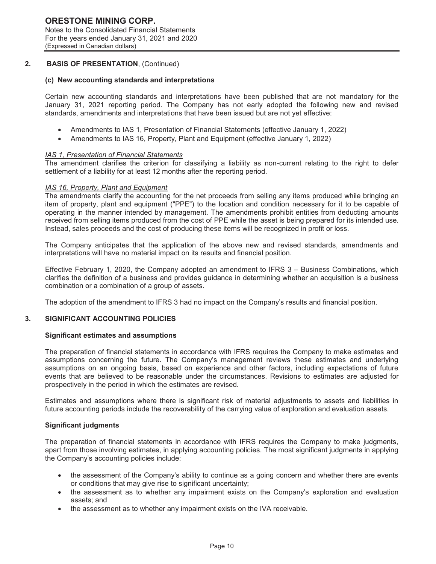## **2. BASIS OF PRESENTATION**, (Continued)

## **(c) New accounting standards and interpretations**

Certain new accounting standards and interpretations have been published that are not mandatory for the January 31, 2021 reporting period. The Company has not early adopted the following new and revised standards, amendments and interpretations that have been issued but are not yet effective:

- ! Amendments to IAS 1, Presentation of Financial Statements (effective January 1, 2022)
- ! Amendments to IAS 16, Property, Plant and Equipment (effective January 1, 2022)

## *IAS 1, Presentation of Financial Statements*

The amendment clarifies the criterion for classifying a liability as non-current relating to the right to defer settlement of a liability for at least 12 months after the reporting period.

#### *IAS 16, Property, Plant and Equipment*

The amendments clarify the accounting for the net proceeds from selling any items produced while bringing an item of property, plant and equipment ("PPE") to the location and condition necessary for it to be capable of operating in the manner intended by management. The amendments prohibit entities from deducting amounts received from selling items produced from the cost of PPE while the asset is being prepared for its intended use. Instead, sales proceeds and the cost of producing these items will be recognized in profit or loss.

The Company anticipates that the application of the above new and revised standards, amendments and interpretations will have no material impact on its results and financial position.

Effective February 1, 2020, the Company adopted an amendment to IFRS 3 – Business Combinations, which clarifies the definition of a business and provides guidance in determining whether an acquisition is a business combination or a combination of a group of assets.

The adoption of the amendment to IFRS 3 had no impact on the Company's results and financial position.

## **3. SIGNIFICANT ACCOUNTING POLICIES**

## **Significant estimates and assumptions**

The preparation of financial statements in accordance with IFRS requires the Company to make estimates and assumptions concerning the future. The Company's management reviews these estimates and underlying assumptions on an ongoing basis, based on experience and other factors, including expectations of future events that are believed to be reasonable under the circumstances. Revisions to estimates are adjusted for prospectively in the period in which the estimates are revised.

Estimates and assumptions where there is significant risk of material adjustments to assets and liabilities in future accounting periods include the recoverability of the carrying value of exploration and evaluation assets.

## **Significant judgments**

The preparation of financial statements in accordance with IFRS requires the Company to make judgments, apart from those involving estimates, in applying accounting policies. The most significant judgments in applying the Company's accounting policies include:

- ! the assessment of the Company's ability to continue as a going concern and whether there are events or conditions that may give rise to significant uncertainty;
- ! the assessment as to whether any impairment exists on the Company's exploration and evaluation assets; and
- the assessment as to whether any impairment exists on the IVA receivable.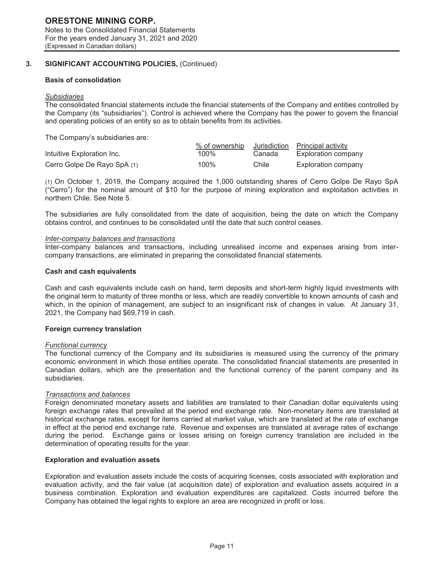## **Basis of consolidation**

#### *Subsidiaries*

The consolidated financial statements include the financial statements of the Company and entities controlled by the Company (its "subsidiaries"). Control is achieved where the Company has the power to govern the financial and operating policies of an entity so as to obtain benefits from its activities.

The Company's subsidiaries are:

|                             |      |        | % of ownership Uurisdiction Principal activity |
|-----------------------------|------|--------|------------------------------------------------|
| Intuitive Exploration Inc.  | 100% | Canada | Exploration company                            |
| Cerro Golpe De Rayo SpA (1) | 100% | Chile  | Exploration company                            |

(1) On October 1, 2019, the Company acquired the 1,000 outstanding shares of Cerro Golpe De Rayo SpA ("Cerro") for the nominal amount of \$10 for the purpose of mining exploration and exploitation activities in northern Chile. See Note 5.

The subsidiaries are fully consolidated from the date of acquisition, being the date on which the Company obtains control, and continues to be consolidated until the date that such control ceases.

#### *Inter-company balances and transactions*

Inter-company balances and transactions, including unrealised income and expenses arising from intercompany transactions, are eliminated in preparing the consolidated financial statements.

#### **Cash and cash equivalents**

Cash and cash equivalents include cash on hand, term deposits and short-term highly liquid investments with the original term to maturity of three months or less, which are readily convertible to known amounts of cash and which, in the opinion of management, are subject to an insignificant risk of changes in value. At January 31, 2021, the Company had \$69,719 in cash.

#### **Foreign currency translation**

#### *Functional currency*

The functional currency of the Company and its subsidiaries is measured using the currency of the primary economic environment in which those entities operate. The consolidated financial statements are presented in Canadian dollars, which are the presentation and the functional currency of the parent company and its subsidiaries.

#### *Transactions and balances*

Foreign denominated monetary assets and liabilities are translated to their Canadian dollar equivalents using foreign exchange rates that prevailed at the period end exchange rate. Non-monetary items are translated at historical exchange rates, except for items carried at market value, which are translated at the rate of exchange in effect at the period end exchange rate. Revenue and expenses are translated at average rates of exchange during the period. Exchange gains or losses arising on foreign currency translation are included in the determination of operating results for the year.

## **Exploration and evaluation assets**

Exploration and evaluation assets include the costs of acquiring licenses, costs associated with exploration and evaluation activity, and the fair value (at acquisition date) of exploration and evaluation assets acquired in a business combination. Exploration and evaluation expenditures are capitalized. Costs incurred before the Company has obtained the legal rights to explore an area are recognized in profit or loss.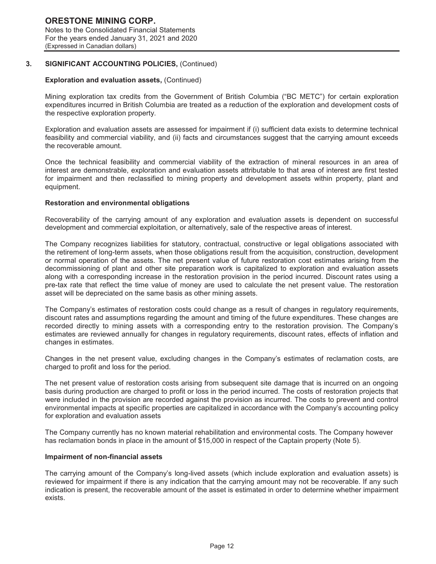## **Exploration and evaluation assets,** (Continued)

Mining exploration tax credits from the Government of British Columbia ("BC METC") for certain exploration expenditures incurred in British Columbia are treated as a reduction of the exploration and development costs of the respective exploration property.

Exploration and evaluation assets are assessed for impairment if (i) sufficient data exists to determine technical feasibility and commercial viability, and (ii) facts and circumstances suggest that the carrying amount exceeds the recoverable amount.

Once the technical feasibility and commercial viability of the extraction of mineral resources in an area of interest are demonstrable, exploration and evaluation assets attributable to that area of interest are first tested for impairment and then reclassified to mining property and development assets within property, plant and equipment.

#### **Restoration and environmental obligations**

Recoverability of the carrying amount of any exploration and evaluation assets is dependent on successful development and commercial exploitation, or alternatively, sale of the respective areas of interest.

The Company recognizes liabilities for statutory, contractual, constructive or legal obligations associated with the retirement of long-term assets, when those obligations result from the acquisition, construction, development or normal operation of the assets. The net present value of future restoration cost estimates arising from the decommissioning of plant and other site preparation work is capitalized to exploration and evaluation assets along with a corresponding increase in the restoration provision in the period incurred. Discount rates using a pre-tax rate that reflect the time value of money are used to calculate the net present value. The restoration asset will be depreciated on the same basis as other mining assets.

The Company's estimates of restoration costs could change as a result of changes in regulatory requirements, discount rates and assumptions regarding the amount and timing of the future expenditures. These changes are recorded directly to mining assets with a corresponding entry to the restoration provision. The Company's estimates are reviewed annually for changes in regulatory requirements, discount rates, effects of inflation and changes in estimates.

Changes in the net present value, excluding changes in the Company's estimates of reclamation costs, are charged to profit and loss for the period.

The net present value of restoration costs arising from subsequent site damage that is incurred on an ongoing basis during production are charged to profit or loss in the period incurred. The costs of restoration projects that were included in the provision are recorded against the provision as incurred. The costs to prevent and control environmental impacts at specific properties are capitalized in accordance with the Company's accounting policy for exploration and evaluation assets

The Company currently has no known material rehabilitation and environmental costs. The Company however has reclamation bonds in place in the amount of \$15,000 in respect of the Captain property (Note 5).

## **Impairment of non-financial assets**

The carrying amount of the Company's long-lived assets (which include exploration and evaluation assets) is reviewed for impairment if there is any indication that the carrying amount may not be recoverable. If any such indication is present, the recoverable amount of the asset is estimated in order to determine whether impairment exists.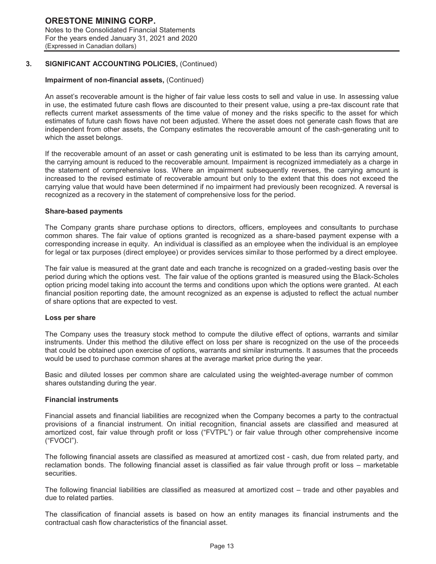## **Impairment of non-financial assets,** (Continued)

An asset's recoverable amount is the higher of fair value less costs to sell and value in use. In assessing value in use, the estimated future cash flows are discounted to their present value, using a pre-tax discount rate that reflects current market assessments of the time value of money and the risks specific to the asset for which estimates of future cash flows have not been adjusted. Where the asset does not generate cash flows that are independent from other assets, the Company estimates the recoverable amount of the cash-generating unit to which the asset belongs.

If the recoverable amount of an asset or cash generating unit is estimated to be less than its carrying amount, the carrying amount is reduced to the recoverable amount. Impairment is recognized immediately as a charge in the statement of comprehensive loss. Where an impairment subsequently reverses, the carrying amount is increased to the revised estimate of recoverable amount but only to the extent that this does not exceed the carrying value that would have been determined if no impairment had previously been recognized. A reversal is recognized as a recovery in the statement of comprehensive loss for the period.

#### **Share-based payments**

The Company grants share purchase options to directors, officers, employees and consultants to purchase common shares. The fair value of options granted is recognized as a share-based payment expense with a corresponding increase in equity. An individual is classified as an employee when the individual is an employee for legal or tax purposes (direct employee) or provides services similar to those performed by a direct employee.

The fair value is measured at the grant date and each tranche is recognized on a graded-vesting basis over the period during which the options vest. The fair value of the options granted is measured using the Black-Scholes option pricing model taking into account the terms and conditions upon which the options were granted. At each financial position reporting date, the amount recognized as an expense is adjusted to reflect the actual number of share options that are expected to vest.

#### **Loss per share**

The Company uses the treasury stock method to compute the dilutive effect of options, warrants and similar instruments. Under this method the dilutive effect on loss per share is recognized on the use of the proceeds that could be obtained upon exercise of options, warrants and similar instruments. It assumes that the proceeds would be used to purchase common shares at the average market price during the year.

Basic and diluted losses per common share are calculated using the weighted-average number of common shares outstanding during the year.

#### **Financial instruments**

Financial assets and financial liabilities are recognized when the Company becomes a party to the contractual provisions of a financial instrument. On initial recognition, financial assets are classified and measured at amortized cost, fair value through profit or loss ("FVTPL") or fair value through other comprehensive income ("FVOCI").

The following financial assets are classified as measured at amortized cost - cash, due from related party, and reclamation bonds. The following financial asset is classified as fair value through profit or loss – marketable securities.

The following financial liabilities are classified as measured at amortized cost – trade and other payables and due to related parties.

The classification of financial assets is based on how an entity manages its financial instruments and the contractual cash flow characteristics of the financial asset.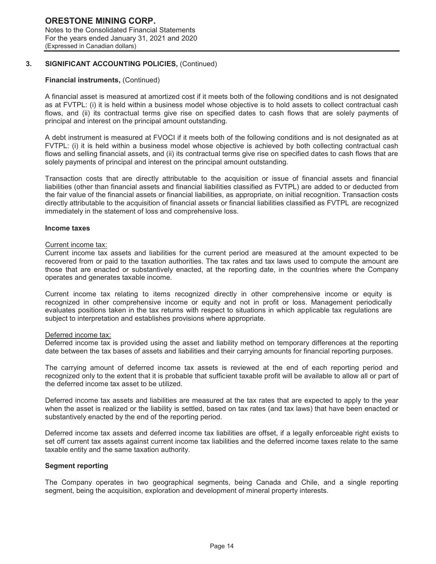## **Financial instruments,** (Continued)

A financial asset is measured at amortized cost if it meets both of the following conditions and is not designated as at FVTPL: (i) it is held within a business model whose objective is to hold assets to collect contractual cash flows, and (ii) its contractual terms give rise on specified dates to cash flows that are solely payments of principal and interest on the principal amount outstanding.

A debt instrument is measured at FVOCI if it meets both of the following conditions and is not designated as at FVTPL: (i) it is held within a business model whose objective is achieved by both collecting contractual cash flows and selling financial assets, and (ii) its contractual terms give rise on specified dates to cash flows that are solely payments of principal and interest on the principal amount outstanding.

Transaction costs that are directly attributable to the acquisition or issue of financial assets and financial liabilities (other than financial assets and financial liabilities classified as FVTPL) are added to or deducted from the fair value of the financial assets or financial liabilities, as appropriate, on initial recognition. Transaction costs directly attributable to the acquisition of financial assets or financial liabilities classified as FVTPL are recognized immediately in the statement of loss and comprehensive loss.

#### **Income taxes**

#### Current income tax:

Current income tax assets and liabilities for the current period are measured at the amount expected to be recovered from or paid to the taxation authorities. The tax rates and tax laws used to compute the amount are those that are enacted or substantively enacted, at the reporting date, in the countries where the Company operates and generates taxable income.

Current income tax relating to items recognized directly in other comprehensive income or equity is recognized in other comprehensive income or equity and not in profit or loss. Management periodically evaluates positions taken in the tax returns with respect to situations in which applicable tax regulations are subject to interpretation and establishes provisions where appropriate.

#### Deferred income tax:

Deferred income tax is provided using the asset and liability method on temporary differences at the reporting date between the tax bases of assets and liabilities and their carrying amounts for financial reporting purposes.

The carrying amount of deferred income tax assets is reviewed at the end of each reporting period and recognized only to the extent that it is probable that sufficient taxable profit will be available to allow all or part of the deferred income tax asset to be utilized.

Deferred income tax assets and liabilities are measured at the tax rates that are expected to apply to the year when the asset is realized or the liability is settled, based on tax rates (and tax laws) that have been enacted or substantively enacted by the end of the reporting period.

Deferred income tax assets and deferred income tax liabilities are offset, if a legally enforceable right exists to set off current tax assets against current income tax liabilities and the deferred income taxes relate to the same taxable entity and the same taxation authority.

## **Segment reporting**

The Company operates in two geographical segments, being Canada and Chile, and a single reporting segment, being the acquisition, exploration and development of mineral property interests.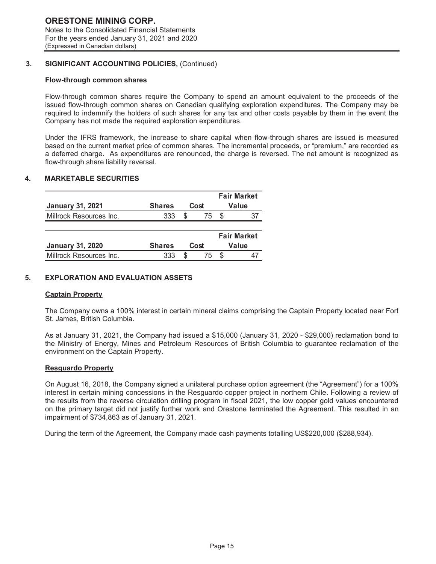## **Flow-through common shares**

Flow-through common shares require the Company to spend an amount equivalent to the proceeds of the issued flow-through common shares on Canadian qualifying exploration expenditures. The Company may be required to indemnify the holders of such shares for any tax and other costs payable by them in the event the Company has not made the required exploration expenditures.

Under the IFRS framework, the increase to share capital when flow-through shares are issued is measured based on the current market price of common shares. The incremental proceeds, or "premium," are recorded as a deferred charge. As expenditures are renounced, the charge is reversed. The net amount is recognized as flow-through share liability reversal.

## **4. MARKETABLE SECURITIES**

| <b>January 31, 2021</b> | <b>Shares</b> |    | Cost | <b>Fair Market</b><br>Value |
|-------------------------|---------------|----|------|-----------------------------|
| Millrock Resources Inc. | 333           | S  | 75   |                             |
|                         |               |    |      |                             |
|                         |               |    |      | <b>Fair Market</b>          |
| <b>January 31, 2020</b> | <b>Shares</b> |    | Cost | Value                       |
| Millrock Resources Inc. |               | \$ | 75   |                             |

# **5. EXPLORATION AND EVALUATION ASSETS**

#### **Captain Property**

The Company owns a 100% interest in certain mineral claims comprising the Captain Property located near Fort St. James, British Columbia.

As at January 31, 2021, the Company had issued a \$15,000 (January 31, 2020 - \$29,000) reclamation bond to the Ministry of Energy, Mines and Petroleum Resources of British Columbia to guarantee reclamation of the environment on the Captain Property.

#### **Resguardo Property**

On August 16, 2018, the Company signed a unilateral purchase option agreement (the "Agreement") for a 100% interest in certain mining concessions in the Resguardo copper project in northern Chile. Following a review of the results from the reverse circulation drilling program in fiscal 2021, the low copper gold values encountered on the primary target did not justify further work and Orestone terminated the Agreement. This resulted in an impairment of \$734,863 as of January 31, 2021.

During the term of the Agreement, the Company made cash payments totalling US\$220,000 (\$288,934).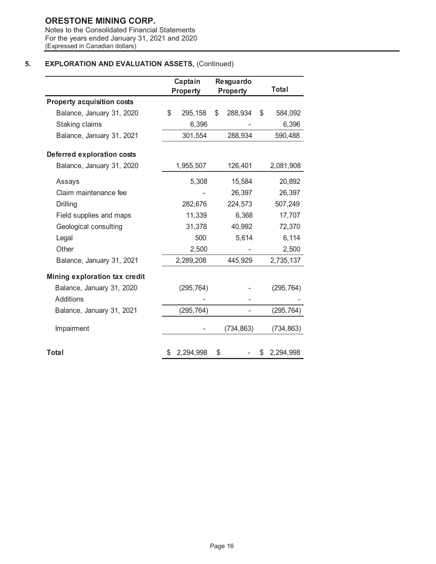# **ORESTONE MINING CORP.**

Notes to the Consolidated Financial Statements For the years ended January 31, 2021 and 2020 (Expressed in Canadian dollars)

# **5. EXPLORATION AND EVALUATION ASSETS,** (Continued)

|                                   | Captain<br><b>Property</b> | Resguardo<br><b>Property</b> | <b>Total</b>    |
|-----------------------------------|----------------------------|------------------------------|-----------------|
| <b>Property acquisition costs</b> |                            |                              |                 |
| Balance, January 31, 2020         | \$<br>295,158              | \$<br>288,934                | \$<br>584,092   |
| Staking claims                    | 6,396                      |                              | 6,396           |
| Balance, January 31, 2021         | 301,554                    | 288,934                      | 590,488         |
| Deferred exploration costs        |                            |                              |                 |
| Balance, January 31, 2020         | 1,955,507                  | 126,401                      | 2,081,908       |
| Assays                            | 5,308                      | 15,584                       | 20,892          |
| Claim maintenance fee             |                            | 26,397                       | 26,397          |
| <b>Drilling</b>                   | 282,676                    | 224,573                      | 507,249         |
| Field supplies and maps           | 11,339                     | 6,368                        | 17,707          |
| Geological consulting             | 31,378                     | 40,992                       | 72,370          |
| Legal                             | 500                        | 5,614                        | 6,114           |
| Other                             | 2,500                      |                              | 2,500           |
| Balance, January 31, 2021         | 2,289,208                  | 445,929                      | 2,735,137       |
| Mining exploration tax credit     |                            |                              |                 |
| Balance, January 31, 2020         | (295, 764)                 |                              | (295, 764)      |
| Additions                         |                            |                              |                 |
| Balance, January 31, 2021         | (295, 764)                 |                              | (295, 764)      |
| Impairment                        |                            | (734, 863)                   | (734, 863)      |
| Total                             | \$<br>2,294,998            | \$                           | \$<br>2,294,998 |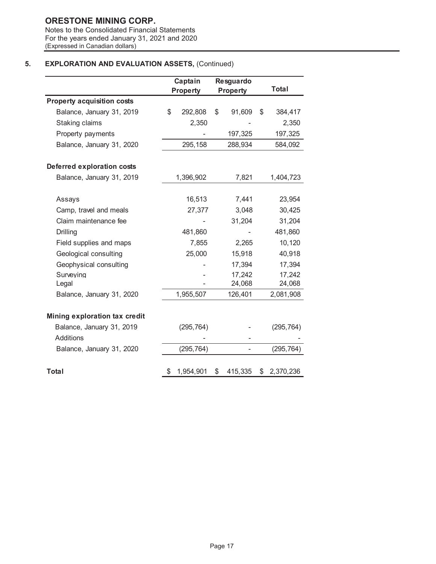# **ORESTONE MINING CORP.**

Notes to the Consolidated Financial Statements For the years ended January 31, 2021 and 2020 (Expressed in Canadian dollars)

# **5. EXPLORATION AND EVALUATION ASSETS,** (Continued)

|                                   | Captain<br><b>Property</b> | Resguardo<br><b>Property</b> | <b>Total</b>     |
|-----------------------------------|----------------------------|------------------------------|------------------|
| <b>Property acquisition costs</b> |                            |                              |                  |
| Balance, January 31, 2019         | \$<br>292,808              | \$<br>91,609                 | \$<br>384,417    |
| Staking claims                    | 2,350                      |                              | 2,350            |
| Property payments                 |                            | 197,325                      | 197,325          |
| Balance, January 31, 2020         | 295,158                    | 288,934                      | 584,092          |
| Deferred exploration costs        |                            |                              |                  |
| Balance, January 31, 2019         | 1,396,902                  | 7,821                        | 1,404,723        |
|                                   | 16,513                     | 7,441                        | 23,954           |
| Assays<br>Camp, travel and meals  | 27,377                     | 3,048                        | 30,425           |
| Claim maintenance fee             |                            |                              |                  |
|                                   |                            | 31,204                       | 31,204           |
| <b>Drilling</b>                   | 481,860                    |                              | 481,860          |
| Field supplies and maps           | 7,855                      | 2,265                        | 10,120           |
| Geological consulting             | 25,000                     | 15,918                       | 40,918           |
| Geophysical consulting            |                            | 17,394                       | 17,394           |
| Surveying<br>Legal                |                            | 17,242<br>24,068             | 17,242<br>24,068 |
| Balance, January 31, 2020         | 1,955,507                  | 126,401                      | 2,081,908        |
|                                   |                            |                              |                  |
| Mining exploration tax credit     |                            |                              |                  |
| Balance, January 31, 2019         | (295, 764)                 |                              | (295, 764)       |
| <b>Additions</b>                  |                            |                              |                  |
| Balance, January 31, 2020         | (295, 764)                 |                              | (295, 764)       |
| Total                             | \$                         |                              |                  |
|                                   | 1,954,901                  | \$<br>415,335                | \$<br>2,370,236  |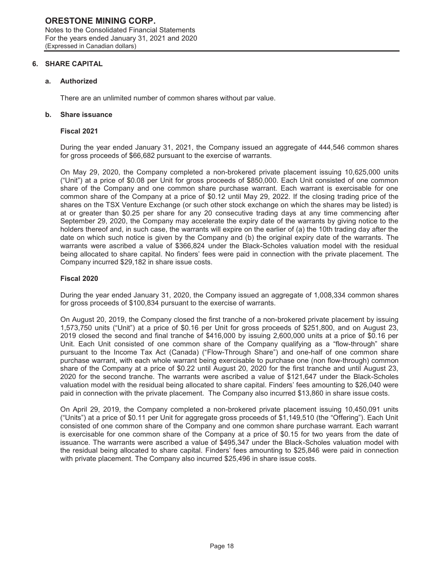## **6. SHARE CAPITAL**

## **a. Authorized**

There are an unlimited number of common shares without par value.

#### **b. Share issuance**

#### **Fiscal 2021**

During the year ended January 31, 2021, the Company issued an aggregate of 444,546 common shares for gross proceeds of \$66,682 pursuant to the exercise of warrants.

On May 29, 2020, the Company completed a non-brokered private placement issuing 10,625,000 units ("Unit") at a price of \$0.08 per Unit for gross proceeds of \$850,000. Each Unit consisted of one common share of the Company and one common share purchase warrant. Each warrant is exercisable for one common share of the Company at a price of \$0.12 until May 29, 2022. If the closing trading price of the shares on the TSX Venture Exchange (or such other stock exchange on which the shares may be listed) is at or greater than \$0.25 per share for any 20 consecutive trading days at any time commencing after September 29, 2020, the Company may accelerate the expiry date of the warrants by giving notice to the holders thereof and, in such case, the warrants will expire on the earlier of (a) the 10th trading day after the date on which such notice is given by the Company and (b) the original expiry date of the warrants. The warrants were ascribed a value of \$366,824 under the Black-Scholes valuation model with the residual being allocated to share capital. No finders' fees were paid in connection with the private placement. The Company incurred \$29,182 in share issue costs.

#### **Fiscal 2020**

During the year ended January 31, 2020, the Company issued an aggregate of 1,008,334 common shares for gross proceeds of \$100,834 pursuant to the exercise of warrants.

On August 20, 2019, the Company closed the first tranche of a non-brokered private placement by issuing 1,573,750 units ("Unit") at a price of \$0.16 per Unit for gross proceeds of \$251,800, and on August 23, 2019 closed the second and final tranche of \$416,000 by issuing 2,600,000 units at a price of \$0.16 per Unit. Each Unit consisted of one common share of the Company qualifying as a "flow-through" share pursuant to the Income Tax Act (Canada) ("Flow-Through Share") and one-half of one common share purchase warrant, with each whole warrant being exercisable to purchase one (non flow-through) common share of the Company at a price of \$0.22 until August 20, 2020 for the first tranche and until August 23, 2020 for the second tranche. The warrants were ascribed a value of \$121,647 under the Black-Scholes valuation model with the residual being allocated to share capital. Finders' fees amounting to \$26,040 were paid in connection with the private placement. The Company also incurred \$13,860 in share issue costs.

On April 29, 2019, the Company completed a non-brokered private placement issuing 10,450,091 units ("Units") at a price of \$0.11 per Unit for aggregate gross proceeds of \$1,149,510 (the "Offering"). Each Unit consisted of one common share of the Company and one common share purchase warrant. Each warrant is exercisable for one common share of the Company at a price of \$0.15 for two years from the date of issuance. The warrants were ascribed a value of \$495,347 under the Black-Scholes valuation model with the residual being allocated to share capital. Finders' fees amounting to \$25,846 were paid in connection with private placement. The Company also incurred \$25,496 in share issue costs.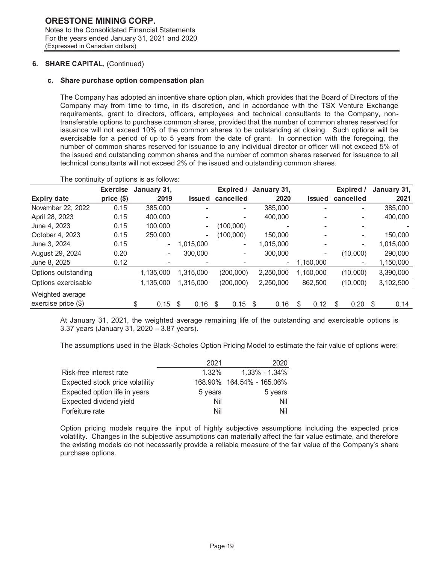## **6. SHARE CAPITAL,** (Continued)

## **c. Share purchase option compensation plan**

The Company has adopted an incentive share option plan, which provides that the Board of Directors of the Company may from time to time, in its discretion, and in accordance with the TSX Venture Exchange requirements, grant to directors, officers, employees and technical consultants to the Company, nontransferable options to purchase common shares, provided that the number of common shares reserved for issuance will not exceed 10% of the common shares to be outstanding at closing. Such options will be exercisable for a period of up to 5 years from the date of grant. In connection with the foregoing, the number of common shares reserved for issuance to any individual director or officer will not exceed 5% of the issued and outstanding common shares and the number of common shares reserved for issuance to all technical consultants will not exceed 2% of the issued and outstanding common shares.

|                       | <b>Exercise</b> | January 31, |               | Expired /  | January 31, |               | Expired /                | January 31, |
|-----------------------|-----------------|-------------|---------------|------------|-------------|---------------|--------------------------|-------------|
| <b>Expiry date</b>    | price (\$)      | 2019        | <b>Issued</b> | cancelled  | 2020        | <b>Issued</b> | cancelled                | 2021        |
| November 22, 2022     | 0.15            | 385,000     |               | ۰.         | 385,000     |               | $\overline{\phantom{0}}$ | 385,000     |
| April 28, 2023        | 0.15            | 400,000     |               |            | 400,000     |               |                          | 400,000     |
| June 4, 2023          | 0.15            | 100,000     | ۰             | (100, 000) |             |               |                          |             |
| October 4, 2023       | 0.15            | 250,000     | ۰             | (100, 000) | 150,000     |               |                          | 150,000     |
| June 3, 2024          | 0.15            | $\sim$      | 1,015,000     | ۰.         | 1,015,000   |               | -                        | 1,015,000   |
| August 29, 2024       | 0.20            | ۰           | 300,000       | ۰.         | 300,000     | ۰             | (10,000)                 | 290,000     |
| June 8, 2025          | 0.12            |             | ۰             |            | ۰.          | 1,150,000     |                          | 1,150,000   |
| Options outstanding   |                 | 1,135,000   | 1,315,000     | (200,000)  | 2,250,000   | 1,150,000     | (10,000)                 | 3,390,000   |
| Options exercisable   |                 | 1,135,000   | 1,315,000     | (200,000)  | 2,250,000   | 862,500       | (10,000)                 | 3,102,500   |
| Weighted average      |                 |             |               |            |             |               |                          | 0.14        |
| exercise price $(\$)$ |                 | \$<br>0.15  | 0.16<br>S     | 0.15<br>S  | 0.16<br>\$. | 0.12<br>S     | 0.20<br>\$               |             |

The continuity of options is as follows:

At January 31, 2021, the weighted average remaining life of the outstanding and exercisable options is 3.37 years (January 31, 2020 – 3.87 years).

The assumptions used in the Black-Scholes Option Pricing Model to estimate the fair value of options were:

|                                 | 2021     | 2020                      |
|---------------------------------|----------|---------------------------|
| Risk-free interest rate         | $1.32\%$ | $1.33\% - 1.34\%$         |
| Expected stock price volatility |          | 168.90% 164.54% - 165.06% |
| Expected option life in years   | 5 years  | 5 years                   |
| Expected dividend yield         | Nil      | Nil                       |
| Forfeiture rate                 | Nil      | Nil                       |

Option pricing models require the input of highly subjective assumptions including the expected price volatility. Changes in the subjective assumptions can materially affect the fair value estimate, and therefore the existing models do not necessarily provide a reliable measure of the fair value of the Company's share purchase options.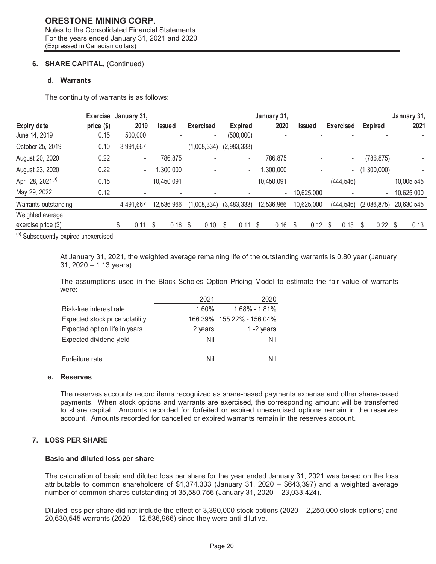## **6. SHARE CAPITAL,** (Continued)

## **d. Warrants**

The continuity of warrants is as follows:

|                               |            | Exercise January 31, |        |            |                  |                |                          | January 31, |               |                  |                | January 31, |
|-------------------------------|------------|----------------------|--------|------------|------------------|----------------|--------------------------|-------------|---------------|------------------|----------------|-------------|
| <b>Expiry date</b>            | price (\$) | 2019                 |        | Issued     | <b>Exercised</b> | <b>Expired</b> |                          | 2020        | <b>Issued</b> | <b>Exercised</b> | <b>Expired</b> | 2021        |
| June 14, 2019                 | 0.15       | 500,000              |        |            | $\sim$           | (500,000)      |                          |             |               |                  |                |             |
| October 25, 2019              | 0.10       | 3,991,667            |        | $\sim$     | (1,008,334)      | (2,983,333)    |                          |             |               |                  |                |             |
| August 20, 2020               | 0.22       |                      | ۰.     | 786,875    |                  |                | $\overline{\phantom{0}}$ | 786,875     |               | ۰                | (786, 875)     |             |
| August 23, 2020               | 0.22       |                      | ۰.     | ,300,000   | $\blacksquare$   |                | $\sim$                   | 1,300,000   |               | $\sim$           | (1,300,000)    |             |
| April 28, 2021 <sup>(a)</sup> | 0.15       |                      | $\sim$ | 10,450,091 | $\blacksquare$   |                | $\overline{\phantom{a}}$ | 10,450,091  | -             | (444, 546)       | $\blacksquare$ | 10,005,545  |
| May 29, 2022                  | 0.12       |                      |        |            |                  |                |                          | ۰.          | 10,625,000    |                  | $\blacksquare$ | 10,625,000  |
| Warrants outstanding          |            | 4,491,667            |        | 12,536,966 | (1,008,334)      | (3,483,333)    |                          | 12,536,966  | 10,625,000    | (444,546)        | (2,086,875)    | 20,630,545  |
| Weighted average              |            |                      |        |            |                  |                |                          |             |               |                  |                |             |
| exercise price (\$)           |            | 0.11                 | S      | 0.16       | Ŝ.<br>0.10       | 0.11           | - \$                     | 0.16        | 0.12          | \$<br>0.15       | 0.22           | 0.13        |

(a) Subsequently expired unexercised

At January 31, 2021, the weighted average remaining life of the outstanding warrants is 0.80 year (January 31, 2020 – 1.13 years).

The assumptions used in the Black-Scholes Option Pricing Model to estimate the fair value of warrants were:

|                                 | 2021    | 2020                      |
|---------------------------------|---------|---------------------------|
| Risk-free interest rate         | 1.60%   | $1.68\% - 1.81\%$         |
| Expected stock price volatility |         | 166.39% 155.22% - 156.04% |
| Expected option life in years   | 2 years | 1 $-2$ years              |
| Expected dividend yield         | Nil     | Nil                       |
| Forfeiture rate                 | Nil     | Nil                       |

#### **e. Reserves**

The reserves accounts record items recognized as share-based payments expense and other share-based payments. When stock options and warrants are exercised, the corresponding amount will be transferred to share capital. Amounts recorded for forfeited or expired unexercised options remain in the reserves account. Amounts recorded for cancelled or expired warrants remain in the reserves account.

## **7. LOSS PER SHARE**

## **Basic and diluted loss per share**

The calculation of basic and diluted loss per share for the year ended January 31, 2021 was based on the loss attributable to common shareholders of \$1,374,333 (January 31, 2020 – \$643,397) and a weighted average number of common shares outstanding of 35,580,756 (January 31, 2020 – 23,033,424).

Diluted loss per share did not include the effect of 3,390,000 stock options (2020 – 2,250,000 stock options) and 20,630,545 warrants (2020 – 12,536,966) since they were anti-dilutive.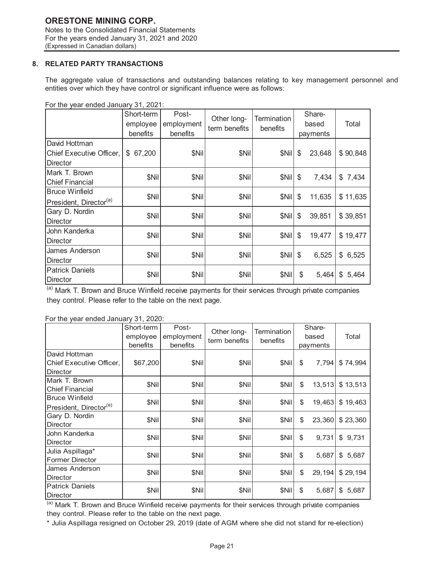# **ORESTONE MINING CORP.**

Notes to the Consolidated Financial Statements For the years ended January 31, 2021 and 2020 (Expressed in Canadian dollars)

# **8. RELATED PARTY TRANSACTIONS**

The aggregate value of transactions and outstanding balances relating to key management personnel and entities over which they have control or significant influence were as follows:

|                                    | TUT the year ended January JT, 2021. |                                 |                              |                         |    |                             |          |  |  |
|------------------------------------|--------------------------------------|---------------------------------|------------------------------|-------------------------|----|-----------------------------|----------|--|--|
|                                    | Short-term<br>employee<br>benefits   | Post-<br>employment<br>benefits | Other long-<br>term benefits | Termination<br>benefits |    | Share-<br>based<br>payments | Total    |  |  |
| David Hottman                      |                                      |                                 |                              |                         |    |                             |          |  |  |
| Chief Executive Officer,           | 67,200<br>\$                         | \$Nil                           | \$Nil                        | \$Nil                   | \$ | 23,648                      | \$90,848 |  |  |
| <b>Director</b>                    |                                      |                                 |                              |                         |    |                             |          |  |  |
| Mark T. Brown                      | \$Nil                                | \$Nil                           | \$Nil                        | $$Nil$ \$               |    | 7,434                       | \$7,434  |  |  |
| <b>Chief Financial</b>             |                                      |                                 |                              |                         |    |                             |          |  |  |
| <b>Bruce Winfield</b>              | \$Nil                                | \$Nil                           | \$Nil                        | \$Nil                   | \$ | 11,635                      | \$11,635 |  |  |
| President, Director <sup>(a)</sup> |                                      |                                 |                              |                         |    |                             |          |  |  |
| Gary D. Nordin                     | \$Nil                                | \$Nil                           | \$Nil                        | \$Nil                   | \$ | 39,851                      | \$39,851 |  |  |
| Director                           |                                      |                                 |                              |                         |    |                             |          |  |  |
| John Kanderka                      | \$Nil                                | \$Nil                           | \$Nil                        | \$Nil                   | \$ | 19,477                      | \$19,477 |  |  |
| Director                           |                                      |                                 |                              |                         |    |                             |          |  |  |
| James Anderson                     | \$Nil                                | \$Nil                           | \$Nil                        | \$Nil                   | \$ | 6,525                       | \$6,525  |  |  |
| Director                           |                                      |                                 |                              |                         |    |                             |          |  |  |
| <b>Patrick Daniels</b>             | \$Nil                                | \$Nil                           | \$Nil                        | \$Nil                   | S  | 5,464                       | \$5,464  |  |  |
| Director                           |                                      |                                 |                              |                         |    |                             |          |  |  |

For the year ended January 31, 2021:

<sup>(a)</sup> Mark T. Brown and Bruce Winfield receive payments for their services through private companies they control. Please refer to the table on the next page.

| T OF the year ended January JT, 2020.                        |                                    |                                 |                              |                         |                             |             |
|--------------------------------------------------------------|------------------------------------|---------------------------------|------------------------------|-------------------------|-----------------------------|-------------|
|                                                              | Short-term<br>employee<br>benefits | Post-<br>employment<br>benefits | Other long-<br>term benefits | Termination<br>benefits | Share-<br>based<br>payments | Total       |
| David Hottman<br>Chief Executive Officer,<br><b>Director</b> | \$67,200                           | \$Nil                           | \$Nil                        | \$Nil                   | \$<br>7,794                 | \$74,994    |
| Mark T. Brown<br><b>Chief Financial</b>                      | \$Nil                              | \$Nil                           | \$Nil                        | \$Nil                   | \$<br>13,513                | \$13,513    |
| <b>Bruce Winfield</b><br>President, Director <sup>(a)</sup>  | \$Nil                              | \$Nil                           | \$Nil                        | \$Nil                   | \$<br>19,463                | \$19,463    |
| Gary D. Nordin<br>Director                                   | \$Nil                              | \$Nil                           | \$Nil                        | \$Nil                   | 23,360<br>\$                | \$23,360    |
| John Kanderka<br><b>Director</b>                             | \$Nil                              | \$Nil                           | \$Nil                        | \$Nil                   | \$<br>9,731                 | \$9,731     |
| Julia Aspillaga*<br>Former Director                          | \$Nil                              | \$Nil                           | \$Nil                        | \$Nil                   | \$<br>5,687                 | \$5,687     |
| James Anderson<br><b>IDirector</b>                           | \$Nil                              | \$Nil                           | \$Nil                        | \$Nil                   | \$<br>29,194                | \$29,194    |
| <b>Patrick Daniels</b><br>Director                           | \$Nil                              | \$Nil                           | \$Nil                        | \$Nil                   | 5,687<br>\$                 | 5,687<br>\$ |

For the year ended January 31, 2020:

<sup>(a)</sup> Mark T. Brown and Bruce Winfield receive payments for their services through private companies they control. Please refer to the table on the next page.

\* Julia Aspillaga resigned on October 29, 2019 (date of AGM where she did not stand for re-election)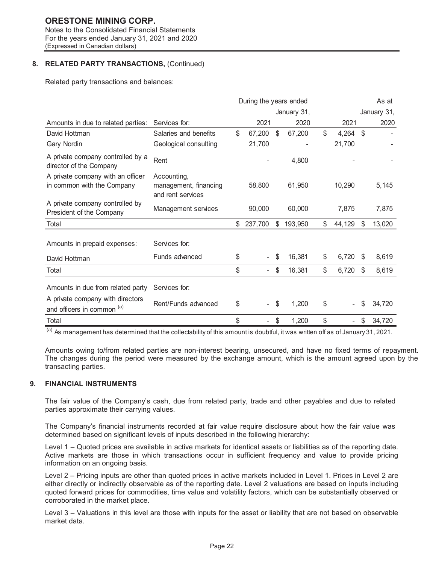Notes to the Consolidated Financial Statements For the years ended January 31, 2021 and 2020 (Expressed in Canadian dollars)

# **8. RELATED PARTY TRANSACTIONS,** (Continued)

Related party transactions and balances:

|                                                                           | During the years ended                                    |    |         |    |             | As at        |    |             |
|---------------------------------------------------------------------------|-----------------------------------------------------------|----|---------|----|-------------|--------------|----|-------------|
|                                                                           |                                                           |    |         |    | January 31, |              |    | January 31, |
| Amounts in due to related parties:                                        | Services for:                                             |    | 2021    |    | 2020        | 2021         |    | 2020        |
| David Hottman                                                             | Salaries and benefits                                     | \$ | 67,200  | \$ | 67,200      | \$<br>4,264  | \$ |             |
| Gary Nordin                                                               | Geological consulting                                     |    | 21,700  |    |             | 21,700       |    |             |
| A private company controlled by a<br>director of the Company              | Rent                                                      |    |         |    | 4,800       |              |    |             |
| A private company with an officer<br>in common with the Company           | Accounting,<br>management, financing<br>and rent services |    | 58,800  |    | 61,950      | 10,290       |    | 5,145       |
| A private company controlled by<br>President of the Company               | Management services                                       |    | 90,000  |    | 60,000      | 7,875        |    | 7,875       |
| Total                                                                     |                                                           | \$ | 237,700 | \$ | 193,950     | \$<br>44,129 | \$ | 13,020      |
| Amounts in prepaid expenses:                                              | Services for:                                             |    |         |    |             |              |    |             |
| David Hottman                                                             | Funds advanced                                            | \$ | Ξ.      | \$ | 16,381      | \$<br>6,720  | \$ | 8,619       |
| Total                                                                     |                                                           | \$ |         | \$ | 16,381      | \$<br>6,720  | \$ | 8,619       |
| Amounts in due from related party                                         | Services for:                                             |    |         |    |             |              |    |             |
| A private company with directors<br>and officers in common <sup>(a)</sup> | Rent/Funds advanced                                       | \$ |         | \$ | 1,200       | \$           | \$ | 34,720      |
| Total                                                                     |                                                           | \$ | Ξ.      | \$ | 1,200       | \$<br>۰      | \$ | 34,720      |

 $\overline{a}$ ) As management has determined that the collectability of this amount is doubtful, it was written off as of January 31, 2021.

Amounts owing to/from related parties are non-interest bearing, unsecured, and have no fixed terms of repayment. The changes during the period were measured by the exchange amount, which is the amount agreed upon by the transacting parties.

# **9. FINANCIAL INSTRUMENTS**

The fair value of the Company's cash, due from related party, trade and other payables and due to related parties approximate their carrying values.

The Company's financial instruments recorded at fair value require disclosure about how the fair value was determined based on significant levels of inputs described in the following hierarchy:

Level 1 – Quoted prices are available in active markets for identical assets or liabilities as of the reporting date. Active markets are those in which transactions occur in sufficient frequency and value to provide pricing information on an ongoing basis.

Level 2 – Pricing inputs are other than quoted prices in active markets included in Level 1. Prices in Level 2 are either directly or indirectly observable as of the reporting date. Level 2 valuations are based on inputs including quoted forward prices for commodities, time value and volatility factors, which can be substantially observed or corroborated in the market place.

Level 3 – Valuations in this level are those with inputs for the asset or liability that are not based on observable market data.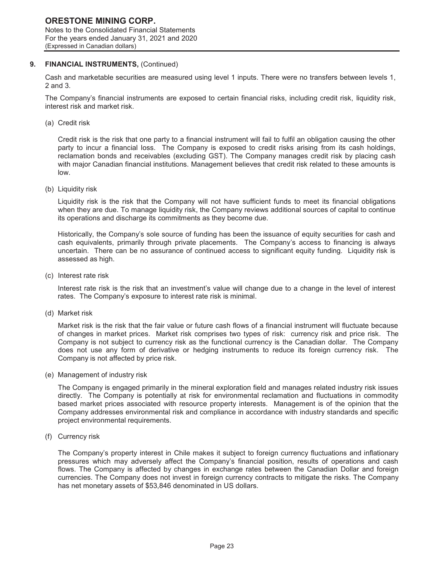## **9. FINANCIAL INSTRUMENTS,** (Continued)

(Expressed in Canadian dollars)

Cash and marketable securities are measured using level 1 inputs. There were no transfers between levels 1, 2 and 3.

The Company's financial instruments are exposed to certain financial risks, including credit risk, liquidity risk, interest risk and market risk.

(a) Credit risk

Credit risk is the risk that one party to a financial instrument will fail to fulfil an obligation causing the other party to incur a financial loss. The Company is exposed to credit risks arising from its cash holdings, reclamation bonds and receivables (excluding GST). The Company manages credit risk by placing cash with major Canadian financial institutions. Management believes that credit risk related to these amounts is low.

(b) Liquidity risk

Liquidity risk is the risk that the Company will not have sufficient funds to meet its financial obligations when they are due. To manage liquidity risk, the Company reviews additional sources of capital to continue its operations and discharge its commitments as they become due.

Historically, the Company's sole source of funding has been the issuance of equity securities for cash and cash equivalents, primarily through private placements. The Company's access to financing is always uncertain. There can be no assurance of continued access to significant equity funding. Liquidity risk is assessed as high.

(c) Interest rate risk

Interest rate risk is the risk that an investment's value will change due to a change in the level of interest rates. The Company's exposure to interest rate risk is minimal.

(d) Market risk

Market risk is the risk that the fair value or future cash flows of a financial instrument will fluctuate because of changes in market prices. Market risk comprises two types of risk: currency risk and price risk. The Company is not subject to currency risk as the functional currency is the Canadian dollar. The Company does not use any form of derivative or hedging instruments to reduce its foreign currency risk. The Company is not affected by price risk.

(e) Management of industry risk

The Company is engaged primarily in the mineral exploration field and manages related industry risk issues directly. The Company is potentially at risk for environmental reclamation and fluctuations in commodity based market prices associated with resource property interests. Management is of the opinion that the Company addresses environmental risk and compliance in accordance with industry standards and specific project environmental requirements.

(f) Currency risk

The Company's property interest in Chile makes it subject to foreign currency fluctuations and inflationary pressures which may adversely affect the Company's financial position, results of operations and cash flows. The Company is affected by changes in exchange rates between the Canadian Dollar and foreign currencies. The Company does not invest in foreign currency contracts to mitigate the risks. The Company has net monetary assets of \$53,846 denominated in US dollars.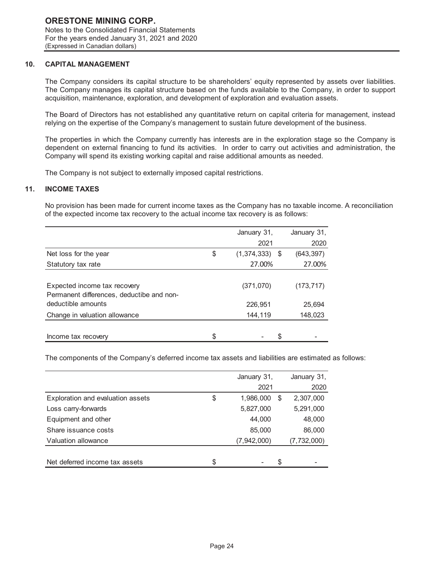## **10. CAPITAL MANAGEMENT**

The Company considers its capital structure to be shareholders' equity represented by assets over liabilities. The Company manages its capital structure based on the funds available to the Company, in order to support acquisition, maintenance, exploration, and development of exploration and evaluation assets.

The Board of Directors has not established any quantitative return on capital criteria for management, instead relying on the expertise of the Company's management to sustain future development of the business.

The properties in which the Company currently has interests are in the exploration stage so the Company is dependent on external financing to fund its activities. In order to carry out activities and administration, the Company will spend its existing working capital and raise additional amounts as needed.

The Company is not subject to externally imposed capital restrictions.

## **11. INCOME TAXES**

No provision has been made for current income taxes as the Company has no taxable income. A reconciliation of the expected income tax recovery to the actual income tax recovery is as follows:

|                                           | January 31,               | January 31, |
|-------------------------------------------|---------------------------|-------------|
|                                           | 2021                      | 2020        |
| Net loss for the year                     | \$<br>(1, 374, 333)<br>\$ | (643, 397)  |
| Statutory tax rate                        | 27.00%                    | 27.00%      |
|                                           |                           |             |
| Expected income tax recovery              | (371,070)                 | (173, 717)  |
| Permanent differences, deductibe and non- |                           |             |
| deductible amounts                        | 226,951                   | 25,694      |
| Change in valuation allowance             | 144,119                   | 148,023     |
|                                           |                           |             |
| Income tax recovery                       | \$<br>\$                  |             |

The components of the Company's deferred income tax assets and liabilities are estimated as follows:

|                                   | January 31,     |    | January 31,   |
|-----------------------------------|-----------------|----|---------------|
|                                   | 2021            |    | 2020          |
| Exploration and evaluation assets | \$<br>1,986,000 | S  | 2,307,000     |
| Loss carry-forwards               | 5,827,000       |    | 5,291,000     |
| Equipment and other               | 44,000          |    | 48,000        |
| Share issuance costs              | 85,000          |    | 86,000        |
| Valuation allowance               | (7,942,000)     |    | (7, 732, 000) |
|                                   |                 |    |               |
| Net deferred income tax assets    | \$<br>۰         | \$ |               |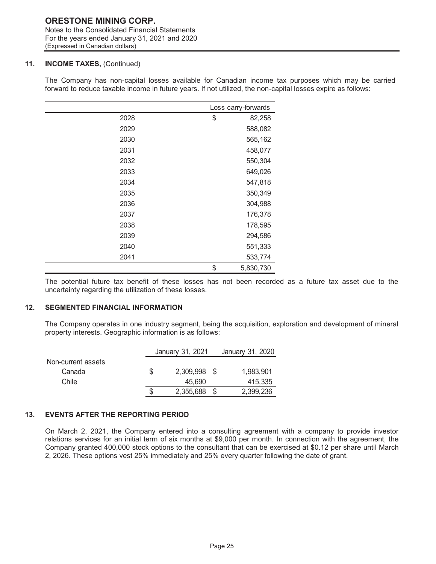## 11. **INCOME TAXES**, (Continued)

The Company has non-capital losses available for Canadian income tax purposes which may be carried forward to reduce taxable income in future years. If not utilized, the non-capital losses expire as follows:

|      | Loss carry-forwards |  |  |
|------|---------------------|--|--|
| 2028 | \$<br>82,258        |  |  |
| 2029 | 588,082             |  |  |
| 2030 | 565,162             |  |  |
| 2031 | 458,077             |  |  |
| 2032 | 550,304             |  |  |
| 2033 | 649,026             |  |  |
| 2034 | 547,818             |  |  |
| 2035 | 350,349             |  |  |
| 2036 | 304,988             |  |  |
| 2037 | 176,378             |  |  |
| 2038 | 178,595             |  |  |
| 2039 | 294,586             |  |  |
| 2040 | 551,333             |  |  |
| 2041 | 533,774             |  |  |
|      | \$<br>5,830,730     |  |  |

The potential future tax benefit of these losses has not been recorded as a future tax asset due to the uncertainty regarding the utilization of these losses.

## **12. SEGMENTED FINANCIAL INFORMATION**

The Company operates in one industry segment, being the acquisition, exploration and development of mineral property interests. Geographic information is as follows:

|                    |    | January 31, 2021 | January 31, 2020 |
|--------------------|----|------------------|------------------|
| Non-current assets |    |                  |                  |
| Canada             | S  | 2,309,998 \$     | 1,983,901        |
| Chile              |    | 45.690           | 415,335          |
|                    | \$ | 2,355,688        | 2,399,236        |

## **13. EVENTS AFTER THE REPORTING PERIOD**

On March 2, 2021, the Company entered into a consulting agreement with a company to provide investor relations services for an initial term of six months at \$9,000 per month. In connection with the agreement, the Company granted 400,000 stock options to the consultant that can be exercised at \$0.12 per share until March 2, 2026. These options vest 25% immediately and 25% every quarter following the date of grant.